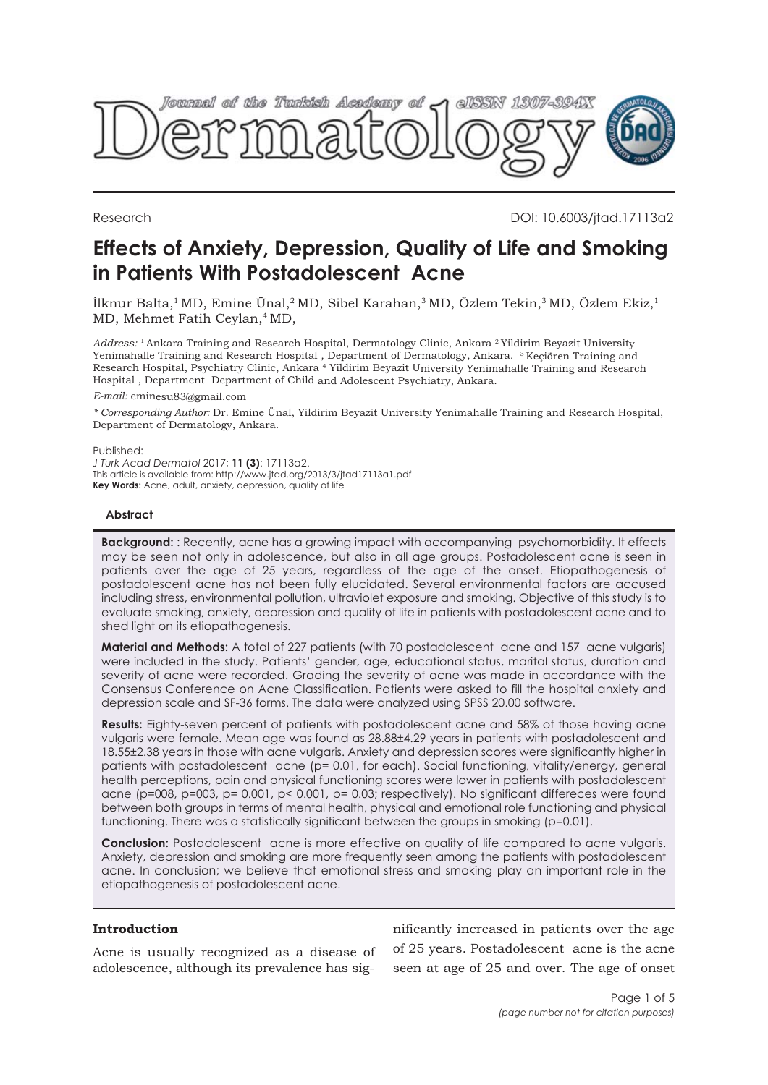

Research DOI: 10.6003/jtad.17113a2

# **Effects of Anxiety, Depression, Quality of Life and Smoking in Patients With Postadolescent Acne**

İlknur Balta,<sup>1</sup> MD, Emine Ünal,<sup>2</sup> MD, Sibel Karahan,<sup>3</sup> MD, Özlem Tekin,<sup>3</sup> MD, Özlem Ekiz,<sup>1</sup> MD, Mehmet Fatih Ceylan,4 MD,

*Address:* <sup>1</sup>Ankara Training and Research Hospital, Dermatology Clinic, Ankara <sup>2</sup>Yildirim Beyazit University Yenimahalle Training and Research Hospital , Department of Dermatology, Ankara. <sup>3</sup>Keçiören Training and Research Hospital, Psychiatry Clinic, Ankara <sup>4</sup> Yildirim Beyazit University Yenimahalle Training and Research Hospital , Department Department of Child and Adolescent Psychiatry, Ankara.

*E-mail:* eminesu83@gmail.com

*\* Corresponding Author:* Dr. Emine Ünal, Yildirim Beyazit University Yenimahalle Training and Research Hospital, Department of Dermatology, Ankara.

Published:

*J Turk Acad Dermatol* 2017; **11 (3)**: 17113a2. This article is available from: http://www.jtad.org/2013/3/jtad17113a1.pdf **Key Words:** Acne, adult, anxiety, depression, quality of life

## **Abstract**

**Background:** : Recently, acne has a growing impact with accompanying psychomorbidity. It effects may be seen not only in adolescence, but also in all age groups. Postadolescent acne is seen in patients over the age of 25 years, regardless of the age of the onset. Etiopathogenesis of postadolescent acne has not been fully elucidated. Several environmental factors are accused including stress, environmental pollution, ultraviolet exposure and smoking. Objective of this study is to evaluate smoking, anxiety, depression and quality of life in patients with postadolescent acne and to shed light on its etiopathogenesis.

**Material and Methods:** A total of 227 patients (with 70 postadolescent acne and 157 acne vulgaris) were included in the study. Patients' gender, age, educational status, marital status, duration and severity of acne were recorded. Grading the severity of acne was made in accordance with the Consensus Conference on Acne Classification. Patients were asked to fill the hospital anxiety and depression scale and SF-36 forms. The data were analyzed using SPSS 20.00 software.

**Results:** Eighty-seven percent of patients with postadolescent acne and 58% of those having acne vulgaris were female. Mean age was found as 28.88±4.29 years in patients with postadolescent and 18.55±2.38 years in those with acne vulgaris. Anxiety and depression scores were significantly higher in patients with postadolescent acne (p= 0.01, for each). Social functioning, vitality/energy, general health perceptions, pain and physical functioning scores were lower in patients with postadolescent acne (p=008, p=003, p= 0.001, p< 0.001, p= 0.03; respectively). No significant differeces were found between both groups in terms of mental health, physical and emotional role functioning and physical functioning. There was a statistically significant between the groups in smoking (p=0.01).

**Conclusion:** Postadolescent acne is more effective on quality of life compared to acne vulgaris. Anxiety, depression and smoking are more frequently seen among the patients with postadolescent acne. In conclusion; we believe that emotional stress and smoking play an important role in the etiopathogenesis of postadolescent acne.

# **Introduction**

Acne is usually recognized as a disease of adolescence, although its prevalence has significantly increased in patients over the age of 25 years. Postadolescent acne is the acne seen at age of 25 and over. The age of onset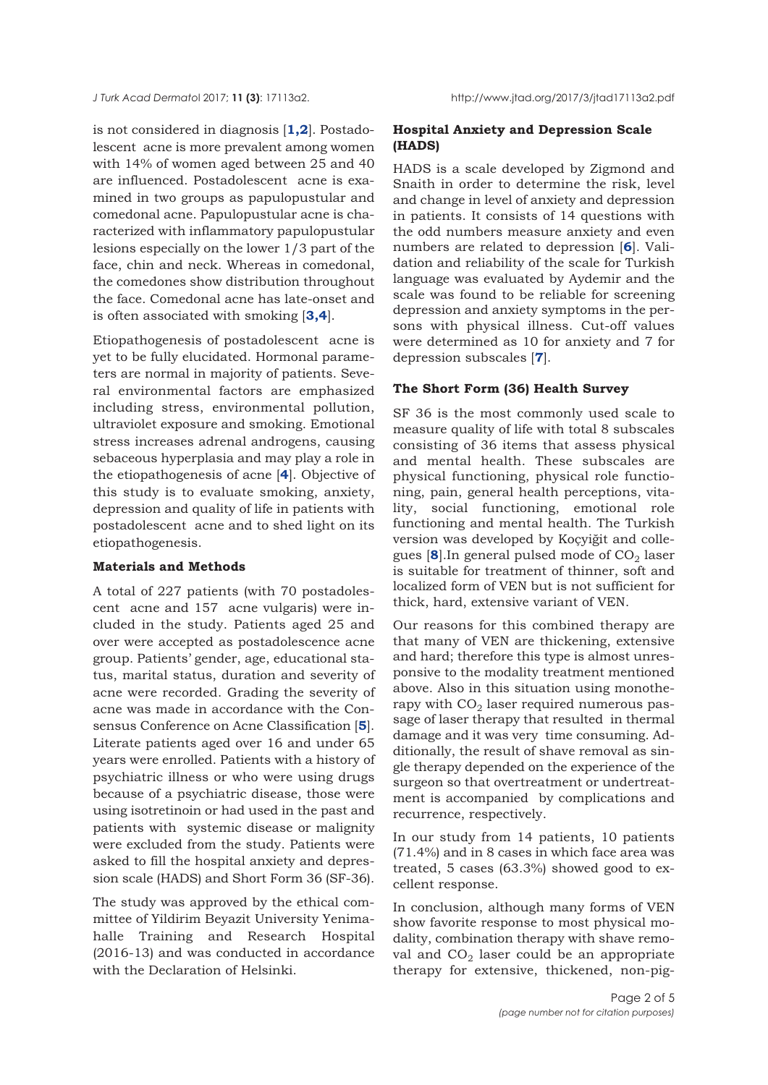is not considered in diagnosis [**[1,2](#page-4-0)**]. Postadolescent acne is more prevalent among women with 14% of women aged between 25 and 40 are influenced. Postadolescent acne is examined in two groups as papulopustular and comedonal acne. Papulopustular acne is characterized with inflammatory papulopustular lesions especially on the lower 1/3 part of the face, chin and neck. Whereas in comedonal, the comedones show distribution throughout the face. Comedonal acne has late-onset and is often associated with smoking [**[3,4](#page-4-0)**].

Etiopathogenesis of postadolescent acne is yet to be fully elucidated. Hormonal parameters are normal in majority of patients. Several environmental factors are emphasized including stress, environmental pollution, ultraviolet exposure and smoking. Emotional stress increases adrenal androgens, causing sebaceous hyperplasia and may play a role in the etiopathogenesis of acne [**[4](#page-4-0)**]. Objective of this study is to evaluate smoking, anxiety, depression and quality of life in patients with postadolescent acne and to shed light on its etiopathogenesis.

#### **Materials and Methods**

A total of 227 patients (with 70 postadolescent acne and 157 acne vulgaris) were included in the study. Patients aged 25 and over were accepted as postadolescence acne group. Patients' gender, age, educational status, marital status, duration and severity of acne were recorded. Grading the severity of acne was made in accordance with the Consensus Conference on Acne Classification [**[5](#page-4-0)**]. Literate patients aged over 16 and under 65 years were enrolled. Patients with a history of psychiatric illness or who were using drugs because of a psychiatric disease, those were using isotretinoin or had used in the past and patients with systemic disease or malignity were excluded from the study. Patients were asked to fill the hospital anxiety and depression scale (HADS) and Short Form 36 (SF-36).

The study was approved by the ethical committee of Yildirim Beyazit University Yenimahalle Training and Research Hospital (2016-13) and was conducted in accordance with the Declaration of Helsinki.

# **Hospital Anxiety and Depression Scale (HADS)**

HADS is a scale developed by Zigmond and Snaith in order to determine the risk, level and change in level of anxiety and depression in patients. It consists of 14 questions with the odd numbers measure anxiety and even numbers are related to depression [**[6](#page-4-0)**]. Validation and reliability of the scale for Turkish language was evaluated by Aydemir and the scale was found to be reliable for screening depression and anxiety symptoms in the persons with physical illness. Cut-off values were determined as 10 for anxiety and 7 for depression subscales [**[7](#page-4-0)**].

#### **The Short Form (36) Health Survey**

SF 36 is the most commonly used scale to measure quality of life with total 8 subscales consisting of 36 items that assess physical and mental health. These subscales are physical functioning, physical role functioning, pain, general health perceptions, vitality, social functioning, emotional role functioning and mental health. The Turkish version was developed by Koçyiğit and collegues  $[8]$  $[8]$  $[8]$ . In general pulsed mode of  $CO<sub>2</sub>$  laser is suitable for treatment of thinner, soft and localized form of VEN but is not sufficient for thick, hard, extensive variant of VEN.

Our reasons for this combined therapy are that many of VEN are thickening, extensive and hard; therefore this type is almost unresponsive to the modality treatment mentioned above. Also in this situation using monotherapy with  $CO<sub>2</sub>$  laser required numerous passage of laser therapy that resulted in thermal damage and it was very time consuming. Additionally, the result of shave removal as single therapy depended on the experience of the surgeon so that overtreatment or undertreatment is accompanied by complications and recurrence, respectively.

In our study from 14 patients, 10 patients (71.4%) and in 8 cases in which face area was treated, 5 cases (63.3%) showed good to excellent response.

In conclusion, although many forms of VEN show favorite response to most physical modality, combination therapy with shave removal and  $CO<sub>2</sub>$  laser could be an appropriate therapy for extensive, thickened, non-pig-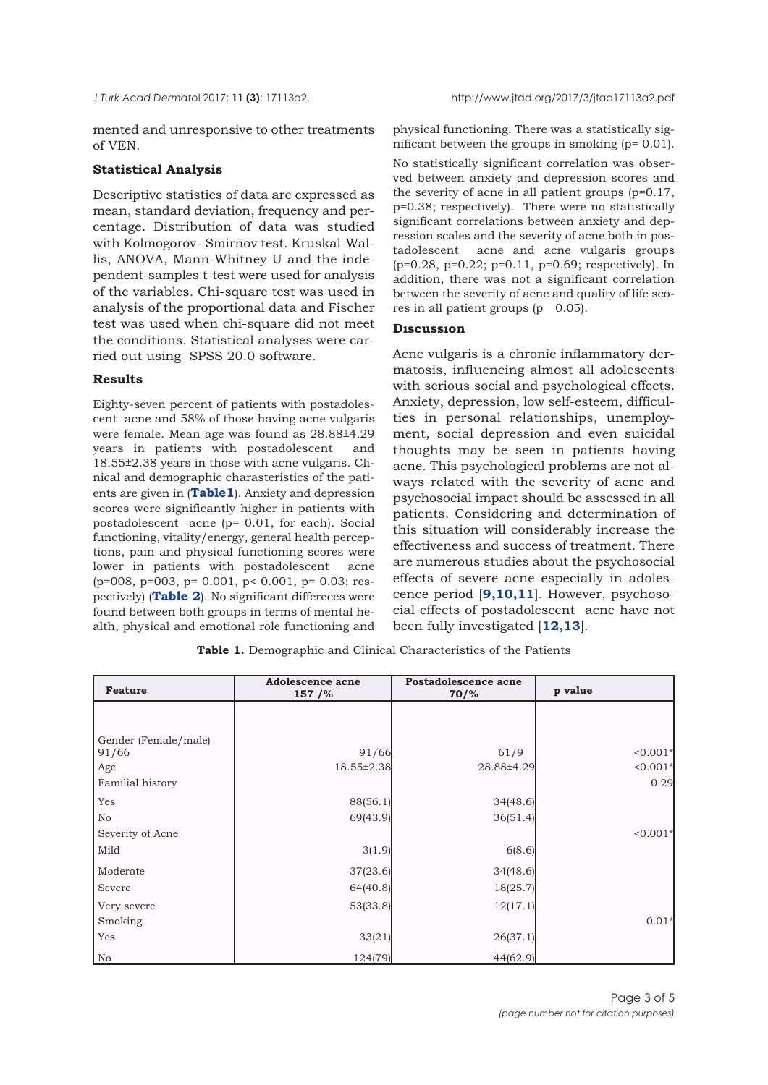mented and unresponsive to other treatments of VEN.

## **Statistical Analysis**

Descriptive statistics of data are expressed as mean, standard deviation, frequency and percentage. Distribution of data was studied with Kolmogorov- Smirnov test. Kruskal-Wallis, ANOVA, Mann-Whitney U and the independent-samples t-test were used for analysis of the variables. Chi-square test was used in analysis of the proportional data and Fischer test was used when chi-square did not meet the conditions. Statistical analyses were carried out using SPSS 20.0 software.

#### **Results**

Eighty-seven percent of patients with postadolescent acne and 58% of those having acne vulgaris were female. Mean age was found as 28.88±4.29 years in patients with postadolescent and 18.55±2.38 years in those with acne vulgaris. Clinical and demographic charasteristics of the patients are given in (**Table1**). Anxiety and depression scores were significantly higher in patients with postadolescent acne (p= 0.01, for each). Social functioning, vitality/energy, general health perceptions, pain and physical functioning scores were lower in patients with postadolescent acne (p=008, p=003, p= 0.001, p< 0.001, p= 0.03; respectively) (**[Table 2](#page-3-0)**). No significant differeces were found between both groups in terms of mental health, physical and emotional role functioning and physical functioning. There was a statistically significant between the groups in smoking (p= 0.01).

No statistically significant correlation was observed between anxiety and depression scores and the severity of acne in all patient groups (p=0.17, p=0.38; respectively). There were no statistically significant correlations between anxiety and depression scales and the severity of acne both in postadolescent acne and acne vulgaris groups (p=0.28, p=0.22; p=0.11, p=0.69; respectively). In addition, there was not a significant correlation between the severity of acne and quality of life scores in all patient groups  $(p \ 0.05)$ .

# **Dıscussıon**

Acne vulgaris is a chronic inflammatory dermatosis, influencing almost all adolescents with serious social and psychological effects. Anxiety, depression, low self-esteem, difficulties in personal relationships, unemployment, social depression and even suicidal thoughts may be seen in patients having acne. This psychological problems are not always related with the severity of acne and psychosocial impact should be assessed in all patients. Considering and determination of this situation will considerably increase the effectiveness and success of treatment. There are numerous studies about the psychosocial effects of severe acne especially in adolescence period [**[9,10,11](#page-4-0)**]. However, psychosocial effects of postadolescent acne have not been fully investigated [**[12,13](#page-4-0)**].

**Table 1.** Demographic and Clinical Characteristics of the Patients

| <b>Feature</b>       | <b>Adolescence acne</b><br>157/% | Postadolescence acne<br>$70\frac{9}{6}$ | p value    |
|----------------------|----------------------------------|-----------------------------------------|------------|
|                      |                                  |                                         |            |
| Gender (Female/male) |                                  |                                         |            |
| 91/66                | 91/66                            | 61/9                                    | $0.001*$   |
| Age                  | 18.55±2.38                       | 28.88±4.29                              | $0.001*$   |
| Familial history     |                                  |                                         | 0.29       |
| Yes                  | 88(56.1)                         | 34(48.6)                                |            |
| No                   | 69(43.9)                         | 36(51.4)                                |            |
| Severity of Acne     |                                  |                                         | $< 0.001*$ |
| Mild                 | 3(1.9)                           | 6(8.6)                                  |            |
| Moderate             | 37(23.6)                         | 34(48.6)                                |            |
| Severe               | 64(40.8)                         | 18(25.7)                                |            |
| Very severe          | 53(33.8)                         | 12(17.1)                                |            |
| Smoking              |                                  |                                         | $0.01*$    |
| Yes                  | 33(21)                           | 26(37.1)                                |            |
| No                   | 124(79)                          | 44(62.9)                                |            |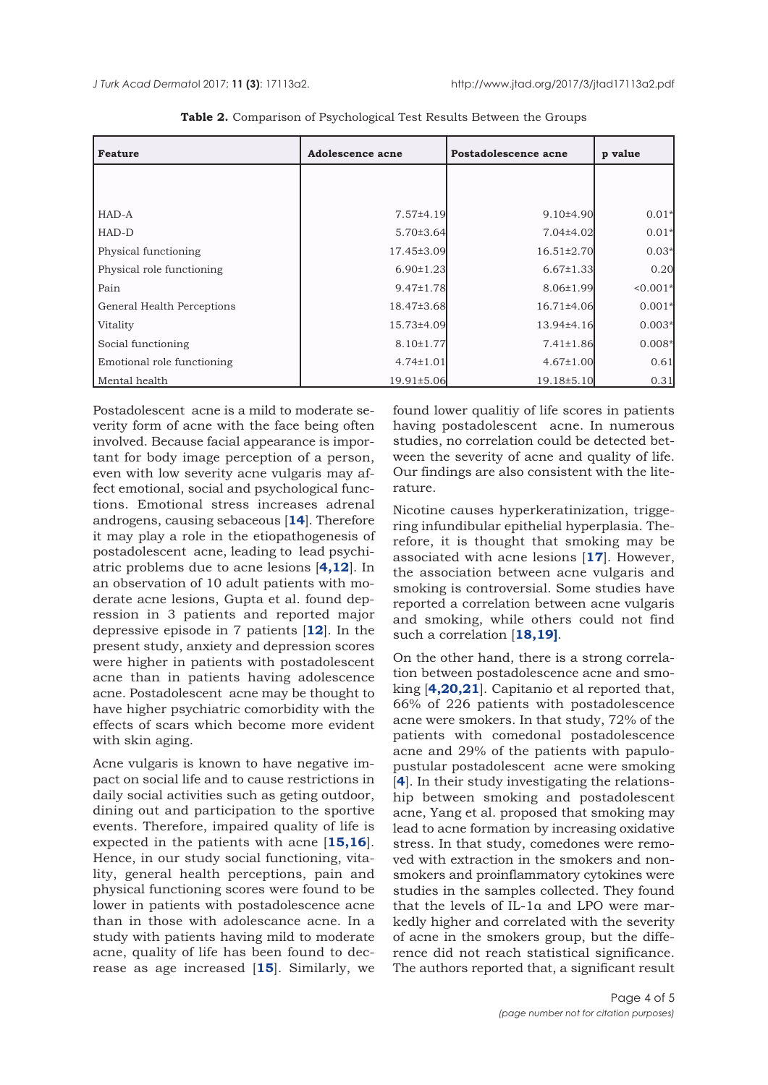<span id="page-3-0"></span>

| <b>Feature</b>             | <b>Adolescence acne</b> | Postadolescence acne | p value    |
|----------------------------|-------------------------|----------------------|------------|
|                            |                         |                      |            |
|                            |                         |                      |            |
| HAD-A                      | 7.57±4.19               | 9.10±4.90            | $0.01*$    |
| HAD-D                      | $5.70 \pm 3.64$         | 7.04±4.02            | $0.01*$    |
| Physical functioning       | 17.45±3.09              | 16.51±2.70           | $0.03*$    |
| Physical role functioning  | $6.90 \pm 1.23$         | $6.67 \pm 1.33$      | 0.20       |
| Pain                       | $9.47 \pm 1.78$         | $8.06 \pm 1.99$      | $< 0.001*$ |
| General Health Perceptions | 18.47±3.68              | 16.71±4.06           | $0.001*$   |
| Vitality                   | 15.73±4.09              | 13.94±4.16           | $0.003*$   |
| Social functioning         | $8.10 \pm 1.77$         | $7.41 \pm 1.86$      | $0.008*$   |
| Emotional role functioning | $4.74 \pm 1.01$         | $4.67 \pm 1.00$      | 0.61       |
| Mental health              | 19.91±5.06              | 19.18±5.10           | 0.31       |

**Table 2.** Comparison of Psychological Test Results Between the Groups

Postadolescent acne is a mild to moderate severity form of acne with the face being often involved. Because facial appearance is important for body image perception of a person, even with low severity acne vulgaris may affect emotional, social and psychological functions. Emotional stress increases adrenal androgens, causing sebaceous [**[14](#page-4-0)**]. Therefore it may play a role in the etiopathogenesis of postadolescent acne, leading to lead psychiatric problems due to acne lesions [**[4](#page-4-0),[12](#page-4-0)**]. In an observation of 10 adult patients with moderate acne lesions, Gupta et al. found depression in 3 patients and reported major depressive episode in 7 patients [**12**]. In the present study, anxiety and depression scores were higher in patients with postadolescent acne than in patients having adolescence acne. Postadolescent acne may be thought to have higher psychiatric comorbidity with the effects of scars which become more evident with skin aging.

Acne vulgaris is known to have negative impact on social life and to cause restrictions in daily social activities such as geting outdoor, dining out and participation to the sportive events. Therefore, impaired quality of life is expected in the patients with acne [**[15](#page-4-0),[16](#page-4-0)**]. Hence, in our study social functioning, vitality, general health perceptions, pain and physical functioning scores were found to be lower in patients with postadolescence acne than in those with adolescance acne. In a study with patients having mild to moderate acne, quality of life has been found to decrease as age increased [**[15](#page-4-0)**]. Similarly, we

found lower qualitiy of life scores in patients having postadolescent acne. In numerous studies, no correlation could be detected between the severity of acne and quality of life. Our findings are also consistent with the literature.

Nicotine causes hyperkeratinization, triggering infundibular epithelial hyperplasia. Therefore, it is thought that smoking may be associated with acne lesions [**[17](#page-4-0)**]. However, the association between acne vulgaris and smoking is controversial. Some studies have reported a correlation between acne vulgaris and smoking, while others could not find such a correlation [**[18,19](#page-4-0)]**.

On the other hand, there is a strong correlation between postadolescence acne and smoking [**[4,20](#page-4-0),[21](#page-4-0)**]. Capitanio et al reported that, 66% of 226 patients with postadolescence acne were smokers. In that study, 72% of the patients with comedonal postadolescence acne and 29% of the patients with papulopustular postadolescent acne were smoking [[4](#page-4-0)]. In their study investigating the relationship between smoking and postadolescent acne, Yang et al. proposed that smoking may lead to acne formation by increasing oxidative stress. In that study, comedones were removed with extraction in the smokers and nonsmokers and proinflammatory cytokines were studies in the samples collected. They found that the levels of IL-1α and LPO were markedly higher and correlated with the severity of acne in the smokers group, but the difference did not reach statistical significance. The authors reported that, a significant result